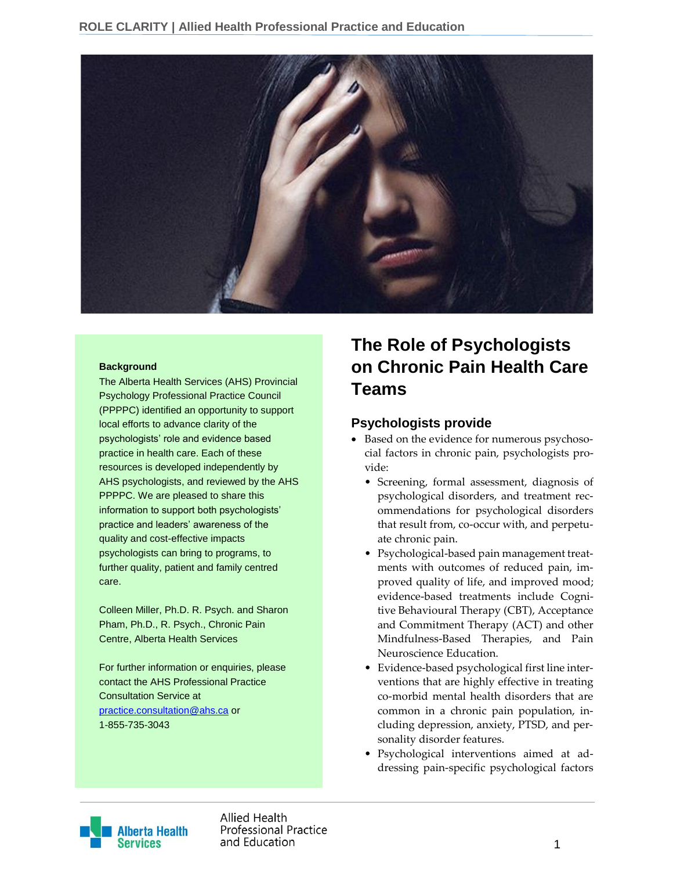

#### **Background**

The Alberta Health Services (AHS) Provincial Psychology Professional Practice Council (PPPPC) identified an opportunity to support local efforts to advance clarity of the psychologists' role and evidence based practice in health care. Each of these resources is developed independently by AHS psychologists, and reviewed by the AHS PPPPC. We are pleased to share this information to support both psychologists' practice and leaders' awareness of the quality and cost-effective impacts psychologists can bring to programs, to further quality, patient and family centred care.

Colleen Miller, Ph.D. R. Psych. and Sharon Pham, Ph.D., R. Psych., Chronic Pain Centre, Alberta Health Services

For further information or enquiries, please contact the AHS Professional Practice Consultation Service at [practice.consultation@ahs.ca](mailto:practice.consultation@ahs.ca) or 1-855-735-3043

# **The Role of Psychologists on Chronic Pain Health Care Teams**

#### **Psychologists provide**

- Based on the evidence for numerous psychosocial factors in chronic pain, psychologists provide:
	- Screening, formal assessment, diagnosis of psychological disorders, and treatment recommendations for psychological disorders that result from, co-occur with, and perpetuate chronic pain.
	- Psychological-based pain management treatments with outcomes of reduced pain, improved quality of life, and improved mood; evidence-based treatments include Cognitive Behavioural Therapy (CBT), Acceptance and Commitment Therapy (ACT) and other Mindfulness-Based Therapies, and Pain Neuroscience Education.
	- Evidence-based psychological first line interventions that are highly effective in treating co-morbid mental health disorders that are common in a chronic pain population, including depression, anxiety, PTSD, and personality disorder features.
	- Psychological interventions aimed at addressing pain-specific psychological factors



Allied Health **Professional Practice** and Education and Education and Education and Education and Education and Education and Education and The Control of the Control of the Control of the Control of the Control of the Control of the Control of the Control of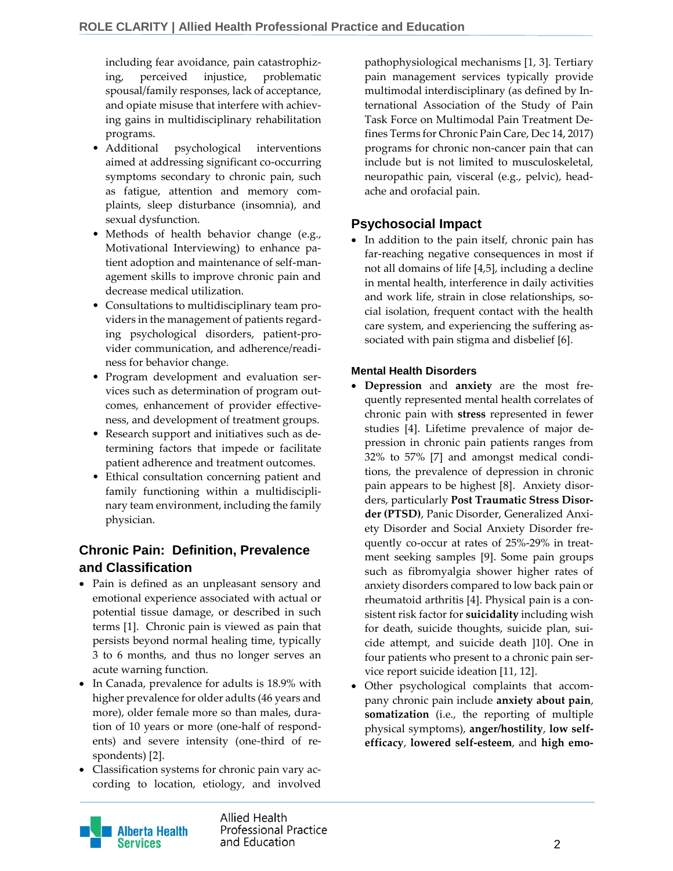including fear avoidance, pain catastrophizing, perceived injustice, problematic spousal/family responses, lack of acceptance, and opiate misuse that interfere with achieving gains in multidisciplinary rehabilitation programs.

- Additional psychological interventions aimed at addressing significant co-occurring symptoms secondary to chronic pain, such as fatigue, attention and memory complaints, sleep disturbance (insomnia), and sexual dysfunction.
- Methods of health behavior change (e.g., Motivational Interviewing) to enhance patient adoption and maintenance of self-management skills to improve chronic pain and decrease medical utilization.
- Consultations to multidisciplinary team providers in the management of patients regarding psychological disorders, patient-provider communication, and adherence/readiness for behavior change.
- Program development and evaluation services such as determination of program outcomes, enhancement of provider effectiveness, and development of treatment groups.
- Research support and initiatives such as determining factors that impede or facilitate patient adherence and treatment outcomes.
- Ethical consultation concerning patient and family functioning within a multidisciplinary team environment, including the family physician.

## **Chronic Pain: Definition, Prevalence and Classification**

- Pain is defined as an unpleasant sensory and emotional experience associated with actual or potential tissue damage, or described in such terms [1]. Chronic pain is viewed as pain that persists beyond normal healing time, typically 3 to 6 months, and thus no longer serves an acute warning function.
- In Canada, prevalence for adults is 18.9% with higher prevalence for older adults (46 years and more), older female more so than males, duration of 10 years or more (one-half of respondents) and severe intensity (one-third of respondents) [2].
- Classification systems for chronic pain vary according to location, etiology, and involved

pathophysiological mechanisms [1, 3]. Tertiary pain management services typically provide multimodal interdisciplinary (as defined by International Association of the Study of Pain Task Force on Multimodal Pain Treatment Defines Terms for Chronic Pain Care, Dec 14, 2017) programs for chronic non-cancer pain that can include but is not limited to musculoskeletal, neuropathic pain, visceral (e.g., pelvic), headache and orofacial pain.

### **Psychosocial Impact**

• In addition to the pain itself, chronic pain has far-reaching negative consequences in most if not all domains of life [4,5], including a decline in mental health, interference in daily activities and work life, strain in close relationships, social isolation, frequent contact with the health care system, and experiencing the suffering associated with pain stigma and disbelief [6].

#### **Mental Health Disorders**

- **Depression** and **anxiety** are the most frequently represented mental health correlates of chronic pain with **stress** represented in fewer studies [4]. Lifetime prevalence of major depression in chronic pain patients ranges from 32% to 57% [7] and amongst medical conditions, the prevalence of depression in chronic pain appears to be highest [8]. Anxiety disorders, particularly **Post Traumatic Stress Disorder (PTSD)**, Panic Disorder, Generalized Anxiety Disorder and Social Anxiety Disorder frequently co-occur at rates of 25%-29% in treatment seeking samples [9]. Some pain groups such as fibromyalgia shower higher rates of anxiety disorders compared to low back pain or rheumatoid arthritis [4]. Physical pain is a consistent risk factor for **suicidality** including wish for death, suicide thoughts, suicide plan, suicide attempt, and suicide death ]10]. One in four patients who present to a chronic pain service report suicide ideation [11, 12].
- Other psychological complaints that accompany chronic pain include **anxiety about pain**, **somatization** (i.e., the reporting of multiple physical symptoms), **anger/hostility**, **low selfefficacy**, **lowered self-esteem**, and **high emo-**



Allied Health **Professional Practice** and Education and Equation and Equation and Equation and Equation and Equation and Equation and Equation and Equation  $\sim$  2007.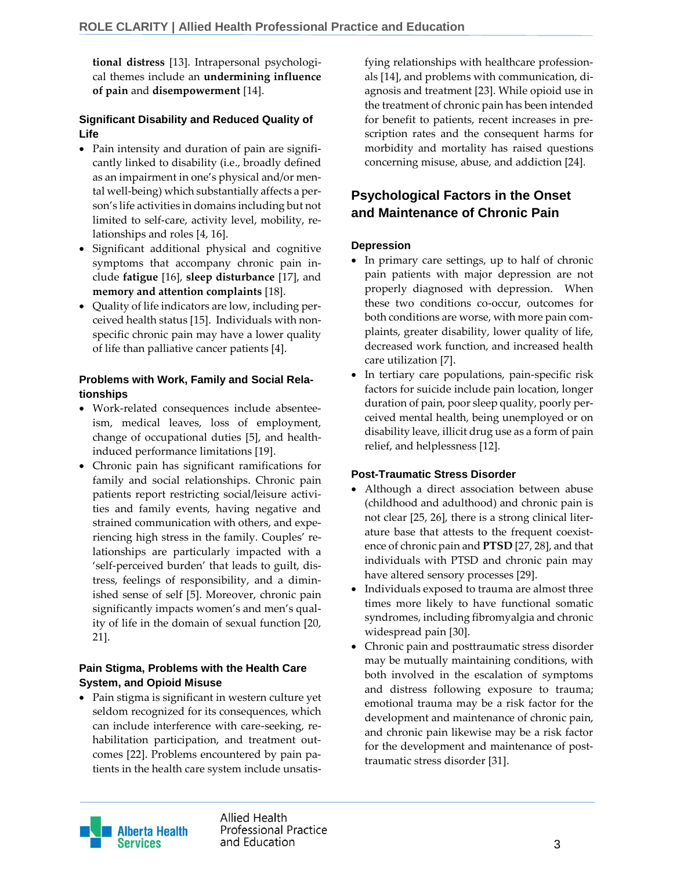**tional distress** [13]. Intrapersonal psychological themes include an **undermining influence of pain** and **disempowerment** [14].

#### **Significant Disability and Reduced Quality of Life**

- Pain intensity and duration of pain are significantly linked to disability (i.e., broadly defined as an impairment in one's physical and/or mental well-being) which substantially affects a person's life activities in domains including but not limited to self-care, activity level, mobility, relationships and roles [4, 16].
- Significant additional physical and cognitive symptoms that accompany chronic pain include **fatigue** [16], **sleep disturbance** [17], and **memory and attention complaints** [18].
- Quality of life indicators are low, including perceived health status [15]. Individuals with nonspecific chronic pain may have a lower quality of life than palliative cancer patients [4].

#### **Problems with Work, Family and Social Relationships**

- Work-related consequences include absenteeism, medical leaves, loss of employment, change of occupational duties [5], and healthinduced performance limitations [19].
- Chronic pain has significant ramifications for family and social relationships. Chronic pain patients report restricting social/leisure activities and family events, having negative and strained communication with others, and experiencing high stress in the family. Couples' relationships are particularly impacted with a 'self-perceived burden' that leads to guilt, distress, feelings of responsibility, and a diminished sense of self [5]. Moreover, chronic pain significantly impacts women's and men's quality of life in the domain of sexual function [20, 21].

#### **Pain Stigma, Problems with the Health Care System, and Opioid Misuse**

• Pain stigma is significant in western culture yet seldom recognized for its consequences, which can include interference with care-seeking, rehabilitation participation, and treatment outcomes [22]. Problems encountered by pain patients in the health care system include unsatis-

fying relationships with healthcare professionals [14], and problems with communication, diagnosis and treatment [23]. While opioid use in the treatment of chronic pain has been intended for benefit to patients, recent increases in prescription rates and the consequent harms for morbidity and mortality has raised questions concerning misuse, abuse, and addiction [24].

## **Psychological Factors in the Onset and Maintenance of Chronic Pain**

#### **Depression**

- In primary care settings, up to half of chronic pain patients with major depression are not properly diagnosed with depression. When these two conditions co-occur, outcomes for both conditions are worse, with more pain complaints, greater disability, lower quality of life, decreased work function, and increased health care utilization [7].
- In tertiary care populations, pain-specific risk factors for suicide include pain location, longer duration of pain, poor sleep quality, poorly perceived mental health, being unemployed or on disability leave, illicit drug use as a form of pain relief, and helplessness [12].

#### **Post-Traumatic Stress Disorder**

- Although a direct association between abuse (childhood and adulthood) and chronic pain is not clear [25, 26], there is a strong clinical literature base that attests to the frequent coexistence of chronic pain and **PTSD** [27, 28], and that individuals with PTSD and chronic pain may have altered sensory processes [29].
- Individuals exposed to trauma are almost three times more likely to have functional somatic syndromes, including fibromyalgia and chronic widespread pain [30].
- Chronic pain and posttraumatic stress disorder may be mutually maintaining conditions, with both involved in the escalation of symptoms and distress following exposure to trauma; emotional trauma may be a risk factor for the development and maintenance of chronic pain, and chronic pain likewise may be a risk factor for the development and maintenance of posttraumatic stress disorder [31].

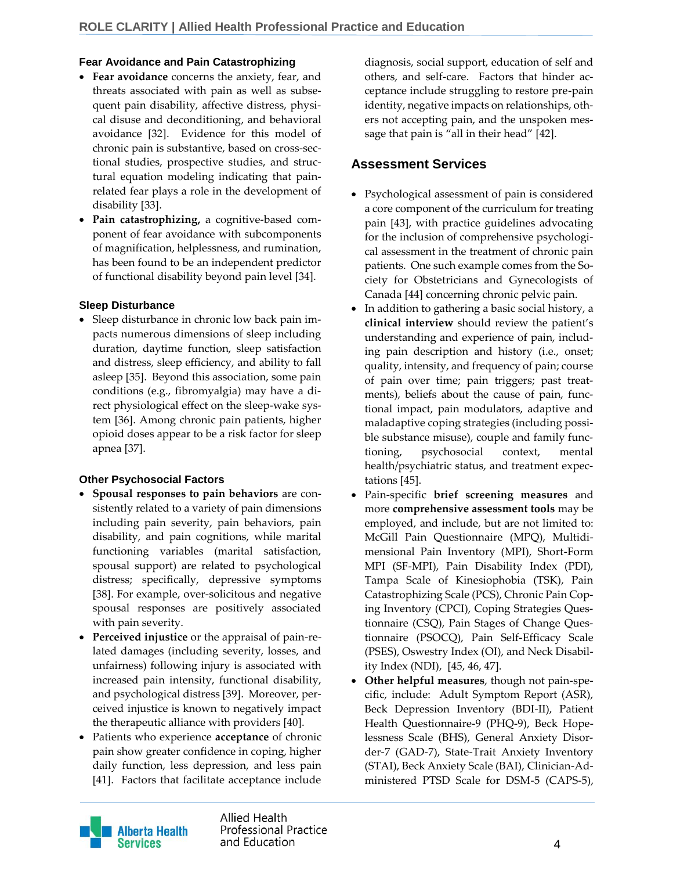#### **Fear Avoidance and Pain Catastrophizing**

- **Fear avoidance** concerns the anxiety, fear, and threats associated with pain as well as subsequent pain disability, affective distress, physical disuse and deconditioning, and behavioral avoidance [32]. Evidence for this model of chronic pain is substantive, based on cross-sectional studies, prospective studies, and structural equation modeling indicating that painrelated fear plays a role in the development of disability [33].
- **Pain catastrophizing,** a cognitive-based component of fear avoidance with subcomponents of magnification, helplessness, and rumination, has been found to be an independent predictor of functional disability beyond pain level [34].

#### **Sleep Disturbance**

 Sleep disturbance in chronic low back pain impacts numerous dimensions of sleep including duration, daytime function, sleep satisfaction and distress, sleep efficiency, and ability to fall asleep [35]. Beyond this association, some pain conditions (e.g., fibromyalgia) may have a direct physiological effect on the sleep-wake system [36]. Among chronic pain patients, higher opioid doses appear to be a risk factor for sleep apnea [37].

#### **Other Psychosocial Factors**

- **Spousal responses to pain behaviors** are consistently related to a variety of pain dimensions including pain severity, pain behaviors, pain disability, and pain cognitions, while marital functioning variables (marital satisfaction, spousal support) are related to psychological distress; specifically, depressive symptoms [38]. For example, over-solicitous and negative spousal responses are positively associated with pain severity.
- **Perceived injustice** or the appraisal of pain-related damages (including severity, losses, and unfairness) following injury is associated with increased pain intensity, functional disability, and psychological distress [39]. Moreover, perceived injustice is known to negatively impact the therapeutic alliance with providers [40].
- Patients who experience **acceptance** of chronic pain show greater confidence in coping, higher daily function, less depression, and less pain [41]. Factors that facilitate acceptance include

diagnosis, social support, education of self and others, and self-care. Factors that hinder acceptance include struggling to restore pre-pain identity, negative impacts on relationships, others not accepting pain, and the unspoken message that pain is "all in their head" [42].

### **Assessment Services**

- Psychological assessment of pain is considered a core component of the curriculum for treating pain [43], with practice guidelines advocating for the inclusion of comprehensive psychological assessment in the treatment of chronic pain patients. One such example comes from the Society for Obstetricians and Gynecologists of Canada [44] concerning chronic pelvic pain.
- In addition to gathering a basic social history, a **clinical interview** should review the patient's understanding and experience of pain, including pain description and history (i.e., onset; quality, intensity, and frequency of pain; course of pain over time; pain triggers; past treatments), beliefs about the cause of pain, functional impact, pain modulators, adaptive and maladaptive coping strategies (including possible substance misuse), couple and family functioning, psychosocial context, mental health/psychiatric status, and treatment expectations [45].
- Pain-specific **brief screening measures** and more **comprehensive assessment tools** may be employed, and include, but are not limited to: McGill Pain Questionnaire (MPQ), Multidimensional Pain Inventory (MPI), Short-Form MPI (SF-MPI), Pain Disability Index (PDI), Tampa Scale of Kinesiophobia (TSK), Pain Catastrophizing Scale (PCS), Chronic Pain Coping Inventory (CPCI), Coping Strategies Questionnaire (CSQ), Pain Stages of Change Questionnaire (PSOCQ), Pain Self-Efficacy Scale (PSES), Oswestry Index (OI), and Neck Disability Index (NDI), [45, 46, 47].
- **Other helpful measures**, though not pain-specific, include: Adult Symptom Report (ASR), Beck Depression Inventory (BDI-II), Patient Health Questionnaire-9 (PHQ-9), Beck Hopelessness Scale (BHS), General Anxiety Disorder-7 (GAD-7), State-Trait Anxiety Inventory (STAI), Beck Anxiety Scale (BAI), Clinician-Administered PTSD Scale for DSM-5 (CAPS-5),



Allied Health **Professional Practice** and Education and Equation and Equation and Equation and Equation and Equation and A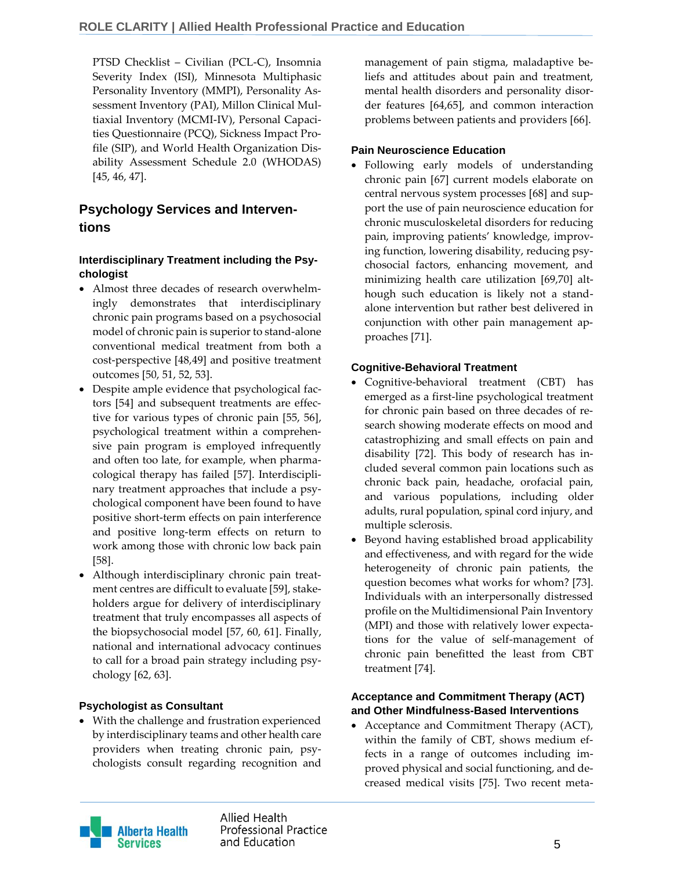PTSD Checklist – Civilian (PCL-C), Insomnia Severity Index (ISI), Minnesota Multiphasic Personality Inventory (MMPI), Personality Assessment Inventory (PAI), Millon Clinical Multiaxial Inventory (MCMI-IV), Personal Capacities Questionnaire (PCQ), Sickness Impact Profile (SIP), and World Health Organization Disability Assessment Schedule 2.0 (WHODAS) [45, 46, 47].

## **Psychology Services and Interventions**

#### **Interdisciplinary Treatment including the Psychologist**

- Almost three decades of research overwhelmingly demonstrates that interdisciplinary chronic pain programs based on a psychosocial model of chronic pain is superior to stand-alone conventional medical treatment from both a cost-perspective [48,49] and positive treatment outcomes [50, 51, 52, 53].
- Despite ample evidence that psychological factors [54] and subsequent treatments are effective for various types of chronic pain [55, 56], psychological treatment within a comprehensive pain program is employed infrequently and often too late, for example, when pharmacological therapy has failed [57]. Interdisciplinary treatment approaches that include a psychological component have been found to have positive short-term effects on pain interference and positive long-term effects on return to work among those with chronic low back pain [58].
- Although interdisciplinary chronic pain treatment centres are difficult to evaluate [59], stakeholders argue for delivery of interdisciplinary treatment that truly encompasses all aspects of the biopsychosocial model [57, 60, 61]. Finally, national and international advocacy continues to call for a broad pain strategy including psychology [62, 63].

#### **Psychologist as Consultant**

 With the challenge and frustration experienced by interdisciplinary teams and other health care providers when treating chronic pain, psychologists consult regarding recognition and

management of pain stigma, maladaptive beliefs and attitudes about pain and treatment, mental health disorders and personality disorder features [64,65], and common interaction problems between patients and providers [66].

#### **Pain Neuroscience Education**

 Following early models of understanding chronic pain [67] current models elaborate on central nervous system processes [68] and support the use of pain neuroscience education for chronic musculoskeletal disorders for reducing pain, improving patients' knowledge, improving function, lowering disability, reducing psychosocial factors, enhancing movement, and minimizing health care utilization [69,70] although such education is likely not a standalone intervention but rather best delivered in conjunction with other pain management approaches [71].

#### **Cognitive-Behavioral Treatment**

- Cognitive-behavioral treatment (CBT) has emerged as a first-line psychological treatment for chronic pain based on three decades of research showing moderate effects on mood and catastrophizing and small effects on pain and disability [72]. This body of research has included several common pain locations such as chronic back pain, headache, orofacial pain, and various populations, including older adults, rural population, spinal cord injury, and multiple sclerosis.
- Beyond having established broad applicability and effectiveness, and with regard for the wide heterogeneity of chronic pain patients, the question becomes what works for whom? [73]. Individuals with an interpersonally distressed profile on the Multidimensional Pain Inventory (MPI) and those with relatively lower expectations for the value of self-management of chronic pain benefitted the least from CBT treatment [74].

#### **Acceptance and Commitment Therapy (ACT) and Other Mindfulness-Based Interventions**

 Acceptance and Commitment Therapy (ACT), within the family of CBT, shows medium effects in a range of outcomes including improved physical and social functioning, and decreased medical visits [75]. Two recent meta-

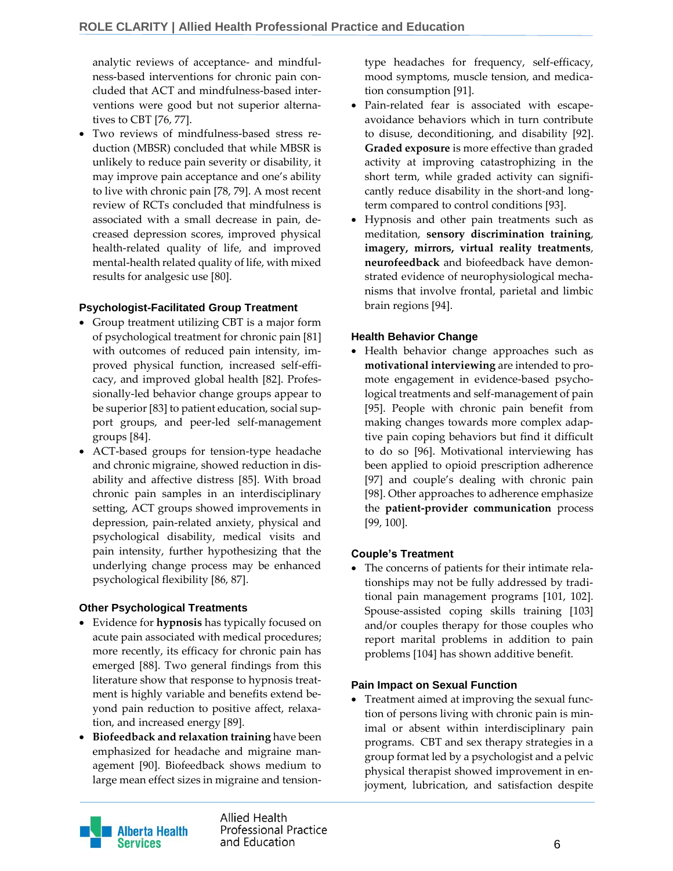analytic reviews of acceptance- and mindfulness-based interventions for chronic pain concluded that ACT and mindfulness-based interventions were good but not superior alternatives to CBT [76, 77].

 Two reviews of mindfulness-based stress reduction (MBSR) concluded that while MBSR is unlikely to reduce pain severity or disability, it may improve pain acceptance and one's ability to live with chronic pain [78, 79]. A most recent review of RCTs concluded that mindfulness is associated with a small decrease in pain, decreased depression scores, improved physical health-related quality of life, and improved mental-health related quality of life, with mixed results for analgesic use [80].

#### **Psychologist-Facilitated Group Treatment**

- Group treatment utilizing CBT is a major form of psychological treatment for chronic pain [81] with outcomes of reduced pain intensity, improved physical function, increased self-efficacy, and improved global health [82]. Professionally-led behavior change groups appear to be superior [83] to patient education, social support groups, and peer-led self-management groups [84].
- ACT-based groups for tension-type headache and chronic migraine, showed reduction in disability and affective distress [85]. With broad chronic pain samples in an interdisciplinary setting, ACT groups showed improvements in depression, pain-related anxiety, physical and psychological disability, medical visits and pain intensity, further hypothesizing that the underlying change process may be enhanced psychological flexibility [86, 87].

#### **Other Psychological Treatments**

- Evidence for **hypnosis** has typically focused on acute pain associated with medical procedures; more recently, its efficacy for chronic pain has emerged [88]. Two general findings from this literature show that response to hypnosis treatment is highly variable and benefits extend beyond pain reduction to positive affect, relaxation, and increased energy [89].
- **Biofeedback and relaxation training** have been emphasized for headache and migraine management [90]. Biofeedback shows medium to large mean effect sizes in migraine and tension-

type headaches for frequency, self-efficacy, mood symptoms, muscle tension, and medication consumption [91].

- Pain-related fear is associated with escapeavoidance behaviors which in turn contribute to disuse, deconditioning, and disability [92]. **Graded exposure** is more effective than graded activity at improving catastrophizing in the short term, while graded activity can significantly reduce disability in the short-and longterm compared to control conditions [93].
- Hypnosis and other pain treatments such as meditation, **sensory discrimination training**, **imagery, mirrors, virtual reality treatments**, **neurofeedback** and biofeedback have demonstrated evidence of neurophysiological mechanisms that involve frontal, parietal and limbic brain regions [94].

#### **Health Behavior Change**

 Health behavior change approaches such as **motivational interviewing** are intended to promote engagement in evidence-based psychological treatments and self-management of pain [95]. People with chronic pain benefit from making changes towards more complex adaptive pain coping behaviors but find it difficult to do so [96]. Motivational interviewing has been applied to opioid prescription adherence [97] and couple's dealing with chronic pain [98]. Other approaches to adherence emphasize the **patient-provider communication** process [99, 100].

#### **Couple's Treatment**

 The concerns of patients for their intimate relationships may not be fully addressed by traditional pain management programs [101, 102]. Spouse-assisted coping skills training [103] and/or couples therapy for those couples who report marital problems in addition to pain problems [104] has shown additive benefit.

#### **Pain Impact on Sexual Function**

 Treatment aimed at improving the sexual function of persons living with chronic pain is minimal or absent within interdisciplinary pain programs. CBT and sex therapy strategies in a group format led by a psychologist and a pelvic physical therapist showed improvement in enjoyment, lubrication, and satisfaction despite



Allied Health **Professional Practice** and Education and Education and Education and Education and Education and Education and Education and Education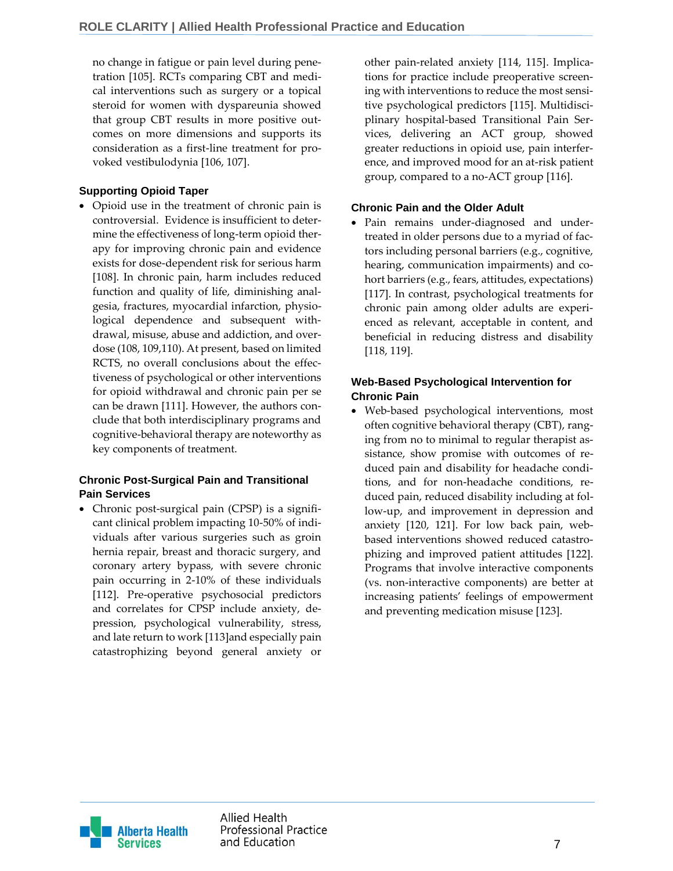no change in fatigue or pain level during penetration [105]. RCTs comparing CBT and medical interventions such as surgery or a topical steroid for women with dyspareunia showed that group CBT results in more positive outcomes on more dimensions and supports its consideration as a first-line treatment for provoked vestibulodynia [106, 107].

#### **Supporting Opioid Taper**

 Opioid use in the treatment of chronic pain is controversial. Evidence is insufficient to determine the effectiveness of long-term opioid therapy for improving chronic pain and evidence exists for dose-dependent risk for serious harm [108]. In chronic pain, harm includes reduced function and quality of life, diminishing analgesia, fractures, myocardial infarction, physiological dependence and subsequent withdrawal, misuse, abuse and addiction, and overdose (108, 109,110). At present, based on limited RCTS, no overall conclusions about the effectiveness of psychological or other interventions for opioid withdrawal and chronic pain per se can be drawn [111]. However, the authors conclude that both interdisciplinary programs and cognitive-behavioral therapy are noteworthy as key components of treatment.

#### **Chronic Post-Surgical Pain and Transitional Pain Services**

 Chronic post-surgical pain (CPSP) is a significant clinical problem impacting 10-50% of individuals after various surgeries such as groin hernia repair, breast and thoracic surgery, and coronary artery bypass, with severe chronic pain occurring in 2-10% of these individuals [112]. Pre-operative psychosocial predictors and correlates for CPSP include anxiety, depression, psychological vulnerability, stress, and late return to work [113]and especially pain catastrophizing beyond general anxiety or

other pain-related anxiety [114, 115]. Implications for practice include preoperative screening with interventions to reduce the most sensitive psychological predictors [115]. Multidisciplinary hospital-based Transitional Pain Services, delivering an ACT group, showed greater reductions in opioid use, pain interference, and improved mood for an at-risk patient group, compared to a no-ACT group [116].

#### **Chronic Pain and the Older Adult**

 Pain remains under-diagnosed and undertreated in older persons due to a myriad of factors including personal barriers (e.g., cognitive, hearing, communication impairments) and cohort barriers (e.g., fears, attitudes, expectations) [117]. In contrast, psychological treatments for chronic pain among older adults are experienced as relevant, acceptable in content, and beneficial in reducing distress and disability [118, 119].

#### **Web-Based Psychological Intervention for Chronic Pain**

 Web-based psychological interventions, most often cognitive behavioral therapy (CBT), ranging from no to minimal to regular therapist assistance, show promise with outcomes of reduced pain and disability for headache conditions, and for non-headache conditions, reduced pain, reduced disability including at follow-up, and improvement in depression and anxiety [120, 121]. For low back pain, webbased interventions showed reduced catastrophizing and improved patient attitudes [122]. Programs that involve interactive components (vs. non-interactive components) are better at increasing patients' feelings of empowerment and preventing medication misuse [123].

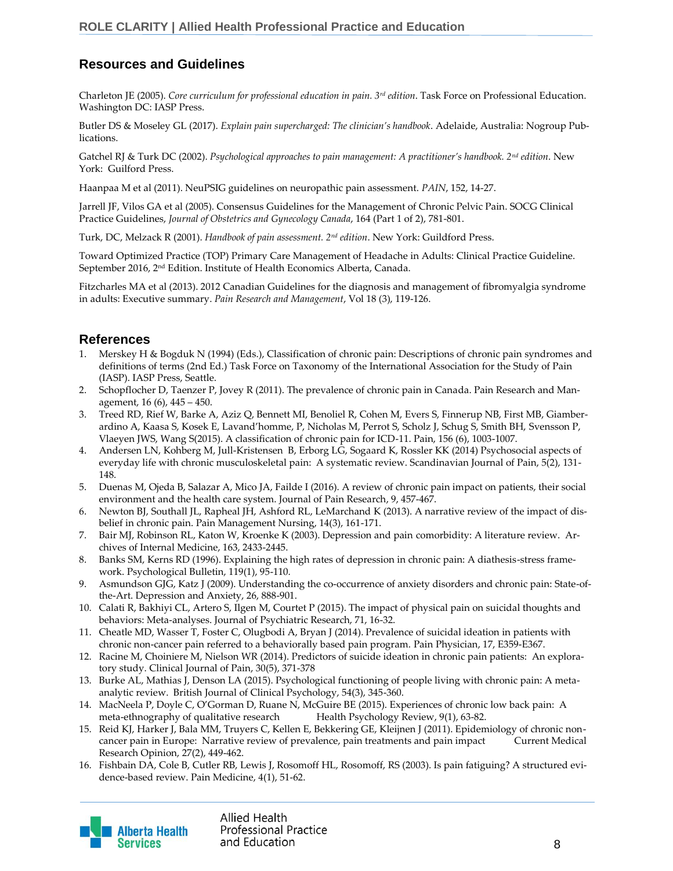## **Resources and Guidelines**

Charleton JE (2005). *Core curriculum for professional education in pain. 3rd edition*. Task Force on Professional Education. Washington DC: IASP Press.

Butler DS & Moseley GL (2017). *Explain pain supercharged: The clinician's handbook*. Adelaide, Australia: Nogroup Publications.

Gatchel RJ & Turk DC (2002). *Psychological approaches to pain management: A practitioner's handbook. 2nd edition*. New York: Guilford Press.

Haanpaa M et al (2011). NeuPSIG guidelines on neuropathic pain assessment. *PAIN*, 152, 14-27.

Jarrell JF, Vilos GA et al (2005). Consensus Guidelines for the Management of Chronic Pelvic Pain. SOCG Clinical Practice Guidelines, *Journal of Obstetrics and Gynecology Canada*, 164 (Part 1 of 2), 781-801.

Turk, DC, Melzack R (2001). *Handbook of pain assessment. 2nd edition*. New York: Guildford Press.

Toward Optimized Practice (TOP) Primary Care Management of Headache in Adults: Clinical Practice Guideline. September 2016, 2nd Edition. Institute of Health Economics Alberta, Canada.

Fitzcharles MA et al (2013). 2012 Canadian Guidelines for the diagnosis and management of fibromyalgia syndrome in adults: Executive summary. *Pain Research and Management*, Vol 18 (3), 119-126.

#### **References**

- 1. Merskey H & Bogduk N (1994) (Eds.), Classification of chronic pain: Descriptions of chronic pain syndromes and definitions of terms (2nd Ed.) Task Force on Taxonomy of the International Association for the Study of Pain (IASP). IASP Press, Seattle.
- 2. Schopflocher D, Taenzer P, Jovey R (2011). The prevalence of chronic pain in Canada. Pain Research and Management, 16 (6), 445 – 450.
- 3. Treed RD, Rief W, Barke A, Aziz Q, Bennett MI, Benoliel R, Cohen M, Evers S, Finnerup NB, First MB, Giamberardino A, Kaasa S, Kosek E, Lavand'homme, P, Nicholas M, Perrot S, Scholz J, Schug S, Smith BH, Svensson P, Vlaeyen JWS, Wang S(2015). A classification of chronic pain for ICD-11. Pain, 156 (6), 1003-1007.
- 4. Andersen LN, Kohberg M, Jull-Kristensen B, Erborg LG, Sogaard K, Rossler KK (2014) Psychosocial aspects of everyday life with chronic musculoskeletal pain: A systematic review. Scandinavian Journal of Pain, 5(2), 131- 148.
- 5. Duenas M, Ojeda B, Salazar A, Mico JA, Failde I (2016). A review of chronic pain impact on patients, their social environment and the health care system. Journal of Pain Research, 9, 457-467.
- 6. Newton BJ, Southall JL, Rapheal JH, Ashford RL, LeMarchand K (2013). A narrative review of the impact of disbelief in chronic pain. Pain Management Nursing, 14(3), 161-171.
- 7. Bair MJ, Robinson RL, Katon W, Kroenke K (2003). Depression and pain comorbidity: A literature review. Archives of Internal Medicine, 163, 2433-2445.
- 8. Banks SM, Kerns RD (1996). Explaining the high rates of depression in chronic pain: A diathesis-stress framework. Psychological Bulletin, 119(1), 95-110.
- 9. Asmundson GJG, Katz J (2009). Understanding the co-occurrence of anxiety disorders and chronic pain: State-ofthe-Art. Depression and Anxiety, 26, 888-901.
- 10. Calati R, Bakhiyi CL, Artero S, Ilgen M, Courtet P (2015). The impact of physical pain on suicidal thoughts and behaviors: Meta-analyses. Journal of Psychiatric Research, 71, 16-32.
- 11. Cheatle MD, Wasser T, Foster C, Olugbodi A, Bryan J (2014). Prevalence of suicidal ideation in patients with chronic non-cancer pain referred to a behaviorally based pain program. Pain Physician, 17, E359-E367.
- 12. Racine M, Choiniere M, Nielson WR (2014). Predictors of suicide ideation in chronic pain patients: An exploratory study. Clinical Journal of Pain, 30(5), 371-378
- 13. Burke AL, Mathias J, Denson LA (2015). Psychological functioning of people living with chronic pain: A metaanalytic review. British Journal of Clinical Psychology, 54(3), 345-360.
- 14. MacNeela P, Doyle C, O'Gorman D, Ruane N, McGuire BE (2015). Experiences of chronic low back pain: A meta-ethnography of qualitative research Health Psychology Review, 9(1), 63-82.
- 15. Reid KJ, Harker J, Bala MM, Truyers C, Kellen E, Bekkering GE, Kleijnen J (2011). Epidemiology of chronic noncancer pain in Europe: Narrative review of prevalence, pain treatments and pain impact Current Medical Research Opinion, 27(2), 449-462.
- 16. Fishbain DA, Cole B, Cutler RB, Lewis J, Rosomoff HL, Rosomoff, RS (2003). Is pain fatiguing? A structured evidence-based review. Pain Medicine, 4(1), 51-62.

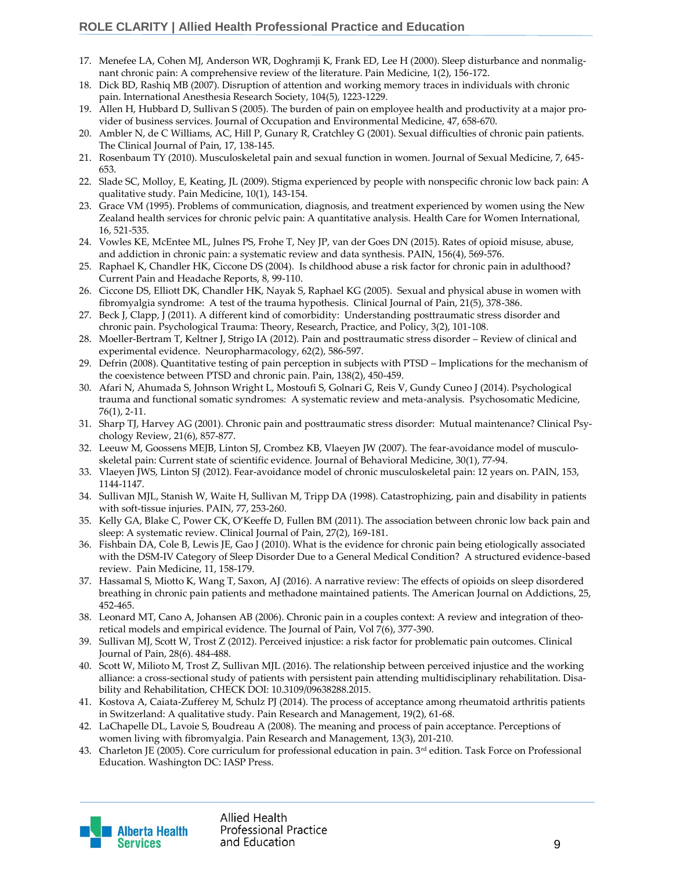- 17. Menefee LA, Cohen MJ, Anderson WR, Doghramji K, Frank ED, Lee H (2000). Sleep disturbance and nonmalignant chronic pain: A comprehensive review of the literature. Pain Medicine, 1(2), 156-172.
- 18. Dick BD, Rashiq MB (2007). Disruption of attention and working memory traces in individuals with chronic pain. International Anesthesia Research Society, 104(5), 1223-1229.
- 19. Allen H, Hubbard D, Sullivan S (2005). The burden of pain on employee health and productivity at a major provider of business services. Journal of Occupation and Environmental Medicine, 47, 658-670.
- 20. Ambler N, de C Williams, AC, Hill P, Gunary R, Cratchley G (2001). Sexual difficulties of chronic pain patients. The Clinical Journal of Pain, 17, 138-145.
- 21. Rosenbaum TY (2010). Musculoskeletal pain and sexual function in women. Journal of Sexual Medicine, 7, 645- 653.
- 22. Slade SC, Molloy, E, Keating, JL (2009). Stigma experienced by people with nonspecific chronic low back pain: A qualitative study. Pain Medicine, 10(1), 143-154.
- 23. Grace VM (1995). Problems of communication, diagnosis, and treatment experienced by women using the New Zealand health services for chronic pelvic pain: A quantitative analysis. Health Care for Women International, 16, 521-535.
- 24. Vowles KE, McEntee ML, Julnes PS, Frohe T, Ney JP, van der Goes DN (2015). Rates of opioid misuse, abuse, and addiction in chronic pain: a systematic review and data synthesis. PAIN, 156(4), 569-576.
- 25. Raphael K, Chandler HK, Ciccone DS (2004). Is childhood abuse a risk factor for chronic pain in adulthood? Current Pain and Headache Reports, 8, 99-110.
- 26. Ciccone DS, Elliott DK, Chandler HK, Nayak S, Raphael KG (2005). Sexual and physical abuse in women with fibromyalgia syndrome: A test of the trauma hypothesis. Clinical Journal of Pain, 21(5), 378-386.
- 27. Beck J, Clapp, J (2011). A different kind of comorbidity: Understanding posttraumatic stress disorder and chronic pain. Psychological Trauma: Theory, Research, Practice, and Policy, 3(2), 101-108.
- 28. Moeller-Bertram T, Keltner J, Strigo IA (2012). Pain and posttraumatic stress disorder Review of clinical and experimental evidence. Neuropharmacology, 62(2), 586-597.
- 29. Defrin (2008). Quantitative testing of pain perception in subjects with PTSD Implications for the mechanism of the coexistence between PTSD and chronic pain. Pain, 138(2), 450-459.
- 30. Afari N, Ahumada S, Johnson Wright L, Mostoufi S, Golnari G, Reis V, Gundy Cuneo J (2014). Psychological trauma and functional somatic syndromes: A systematic review and meta-analysis. Psychosomatic Medicine, 76(1), 2-11.
- 31. Sharp TJ, Harvey AG (2001). Chronic pain and posttraumatic stress disorder: Mutual maintenance? Clinical Psychology Review, 21(6), 857-877.
- 32. Leeuw M, Goossens MEJB, Linton SJ, Crombez KB, Vlaeyen JW (2007). The fear-avoidance model of musculoskeletal pain: Current state of scientific evidence. Journal of Behavioral Medicine, 30(1), 77-94.
- 33. Vlaeyen JWS, Linton SJ (2012). Fear-avoidance model of chronic musculoskeletal pain: 12 years on. PAIN, 153, 1144-1147.
- 34. Sullivan MJL, Stanish W, Waite H, Sullivan M, Tripp DA (1998). Catastrophizing, pain and disability in patients with soft-tissue injuries. PAIN, 77, 253-260.
- 35. Kelly GA, Blake C, Power CK, O'Keeffe D, Fullen BM (2011). The association between chronic low back pain and sleep: A systematic review. Clinical Journal of Pain, 27(2), 169-181.
- 36. Fishbain DA, Cole B, Lewis JE, Gao J (2010). What is the evidence for chronic pain being etiologically associated with the DSM-IV Category of Sleep Disorder Due to a General Medical Condition? A structured evidence-based review. Pain Medicine, 11, 158-179.
- 37. Hassamal S, Miotto K, Wang T, Saxon, AJ (2016). A narrative review: The effects of opioids on sleep disordered breathing in chronic pain patients and methadone maintained patients. The American Journal on Addictions, 25, 452-465.
- 38. Leonard MT, Cano A, Johansen AB (2006). Chronic pain in a couples context: A review and integration of theoretical models and empirical evidence. The Journal of Pain, Vol 7(6), 377-390.
- 39. Sullivan MJ, Scott W, Trost Z (2012). Perceived injustice: a risk factor for problematic pain outcomes. Clinical Journal of Pain, 28(6). 484-488.
- 40. Scott W, Milioto M, Trost Z, Sullivan MJL (2016). The relationship between perceived injustice and the working alliance: a cross-sectional study of patients with persistent pain attending multidisciplinary rehabilitation. Disability and Rehabilitation, CHECK DOI: 10.3109/09638288.2015.
- 41. Kostova A, Caiata-Zufferey M, Schulz PJ (2014). The process of acceptance among rheumatoid arthritis patients in Switzerland: A qualitative study. Pain Research and Management, 19(2), 61-68.
- 42. LaChapelle DL, Lavoie S, Boudreau A (2008). The meaning and process of pain acceptance. Perceptions of women living with fibromyalgia. Pain Research and Management, 13(3), 201-210.
- 43. Charleton JE (2005). Core curriculum for professional education in pain. 3<sup>rd</sup> edition. Task Force on Professional Education. Washington DC: IASP Press.

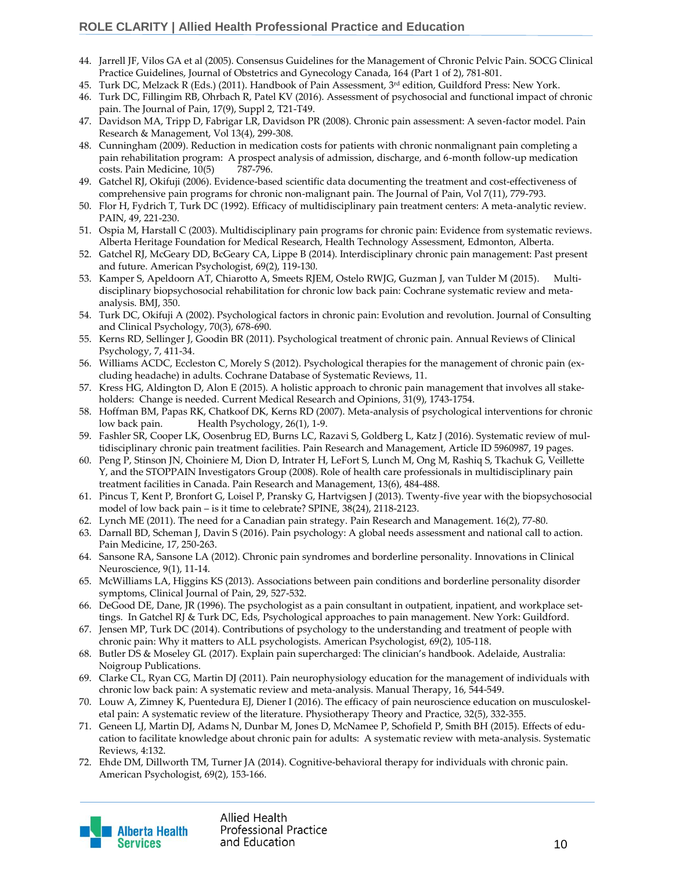- 44. Jarrell JF, Vilos GA et al (2005). Consensus Guidelines for the Management of Chronic Pelvic Pain. SOCG Clinical Practice Guidelines, Journal of Obstetrics and Gynecology Canada, 164 (Part 1 of 2), 781-801.
- 45. Turk DC, Melzack R (Eds.) (2011). Handbook of Pain Assessment, 3rd edition, Guildford Press: New York.
- 46. Turk DC, Fillingim RB, Ohrbach R, Patel KV (2016). Assessment of psychosocial and functional impact of chronic pain. The Journal of Pain, 17(9), Suppl 2, T21-T49.
- 47. Davidson MA, Tripp D, Fabrigar LR, Davidson PR (2008). Chronic pain assessment: A seven-factor model. Pain Research & Management, Vol 13(4), 299-308.
- 48. Cunningham (2009). Reduction in medication costs for patients with chronic nonmalignant pain completing a pain rehabilitation program: A prospect analysis of admission, discharge, and 6-month follow-up medication costs. Pain Medicine, 10(5) 787-796.
- 49. Gatchel RJ, Okifuji (2006). Evidence-based scientific data documenting the treatment and cost-effectiveness of comprehensive pain programs for chronic non-malignant pain. The Journal of Pain, Vol 7(11), 779-793.
- 50. Flor H, Fydrich T, Turk DC (1992). Efficacy of multidisciplinary pain treatment centers: A meta-analytic review. PAIN, 49, 221-230.
- 51. Ospia M, Harstall C (2003). Multidisciplinary pain programs for chronic pain: Evidence from systematic reviews. Alberta Heritage Foundation for Medical Research, Health Technology Assessment, Edmonton, Alberta.
- 52. Gatchel RJ, McGeary DD, BcGeary CA, Lippe B (2014). Interdisciplinary chronic pain management: Past present and future. American Psychologist, 69(2), 119-130.
- 53. Kamper S, Apeldoorn AT, Chiarotto A, Smeets RJEM, Ostelo RWJG, Guzman J, van Tulder M (2015). Multidisciplinary biopsychosocial rehabilitation for chronic low back pain: Cochrane systematic review and metaanalysis. BMJ, 350.
- 54. Turk DC, Okifuji A (2002). Psychological factors in chronic pain: Evolution and revolution. Journal of Consulting and Clinical Psychology, 70(3), 678-690.
- 55. Kerns RD, Sellinger J, Goodin BR (2011). Psychological treatment of chronic pain. Annual Reviews of Clinical Psychology, 7, 411-34.
- 56. Williams ACDC, Eccleston C, Morely S (2012). Psychological therapies for the management of chronic pain (excluding headache) in adults. Cochrane Database of Systematic Reviews, 11.
- 57. Kress HG, Aldington D, Alon E (2015). A holistic approach to chronic pain management that involves all stakeholders: Change is needed. Current Medical Research and Opinions, 31(9), 1743-1754.
- 58. Hoffman BM, Papas RK, Chatkoof DK, Kerns RD (2007). Meta-analysis of psychological interventions for chronic low back pain. Health Psychology, 26(1), 1-9.
- 59. Fashler SR, Cooper LK, Oosenbrug ED, Burns LC, Razavi S, Goldberg L, Katz J (2016). Systematic review of multidisciplinary chronic pain treatment facilities. Pain Research and Management, Article ID 5960987, 19 pages.
- 60. Peng P, Stinson JN, Choiniere M, Dion D, Intrater H, LeFort S, Lunch M, Ong M, Rashiq S, Tkachuk G, Veillette Y, and the STOPPAIN Investigators Group (2008). Role of health care professionals in multidisciplinary pain treatment facilities in Canada. Pain Research and Management, 13(6), 484-488.
- 61. Pincus T, Kent P, Bronfort G, Loisel P, Pransky G, Hartvigsen J (2013). Twenty-five year with the biopsychosocial model of low back pain – is it time to celebrate? SPINE, 38(24), 2118-2123.
- 62. Lynch ME (2011). The need for a Canadian pain strategy. Pain Research and Management. 16(2), 77-80.
- 63. Darnall BD, Scheman J, Davin S (2016). Pain psychology: A global needs assessment and national call to action. Pain Medicine, 17, 250-263.
- 64. Sansone RA, Sansone LA (2012). Chronic pain syndromes and borderline personality. Innovations in Clinical Neuroscience, 9(1), 11-14.
- 65. McWilliams LA, Higgins KS (2013). Associations between pain conditions and borderline personality disorder symptoms, Clinical Journal of Pain, 29, 527-532.
- 66. DeGood DE, Dane, JR (1996). The psychologist as a pain consultant in outpatient, inpatient, and workplace settings. In Gatchel RJ & Turk DC, Eds, Psychological approaches to pain management. New York: Guildford.
- 67. Jensen MP, Turk DC (2014). Contributions of psychology to the understanding and treatment of people with chronic pain: Why it matters to ALL psychologists. American Psychologist, 69(2), 105-118.
- 68. Butler DS & Moseley GL (2017). Explain pain supercharged: The clinician's handbook. Adelaide, Australia: Noigroup Publications.
- 69. Clarke CL, Ryan CG, Martin DJ (2011). Pain neurophysiology education for the management of individuals with chronic low back pain: A systematic review and meta-analysis. Manual Therapy, 16, 544-549.
- 70. Louw A, Zimney K, Puentedura EJ, Diener I (2016). The efficacy of pain neuroscience education on musculoskeletal pain: A systematic review of the literature. Physiotherapy Theory and Practice, 32(5), 332-355.
- 71. Geneen LJ, Martin DJ, Adams N, Dunbar M, Jones D, McNamee P, Schofield P, Smith BH (2015). Effects of education to facilitate knowledge about chronic pain for adults: A systematic review with meta-analysis. Systematic Reviews, 4:132.
- 72. Ehde DM, Dillworth TM, Turner JA (2014). Cognitive-behavioral therapy for individuals with chronic pain. American Psychologist, 69(2), 153-166.

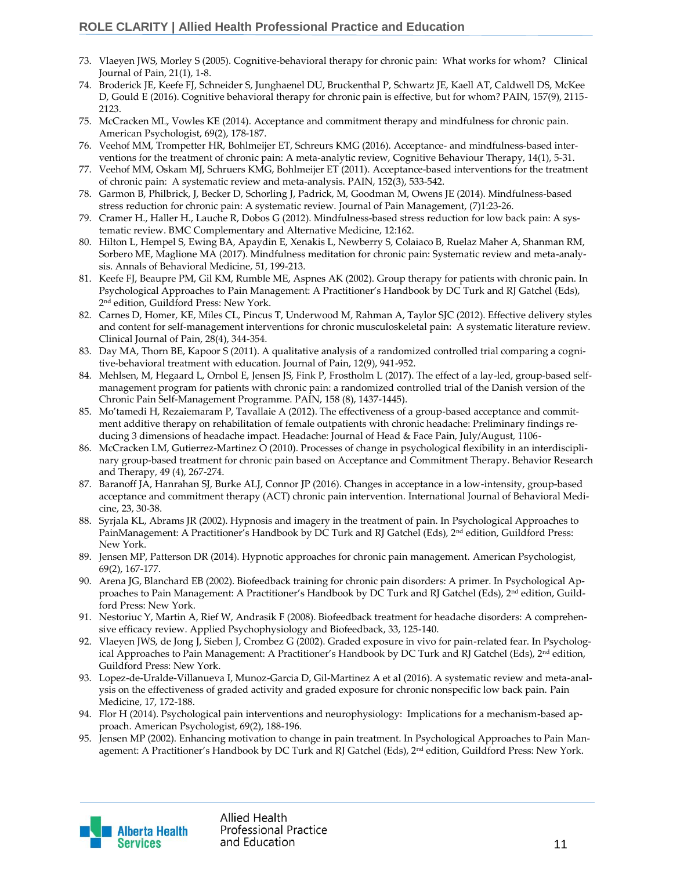- 73. Vlaeyen JWS, Morley S (2005). Cognitive-behavioral therapy for chronic pain: What works for whom? Clinical Journal of Pain, 21(1), 1-8.
- 74. Broderick JE, Keefe FJ, Schneider S, Junghaenel DU, Bruckenthal P, Schwartz JE, Kaell AT, Caldwell DS, McKee D, Gould E (2016). Cognitive behavioral therapy for chronic pain is effective, but for whom? PAIN, 157(9), 2115- 2123.
- 75. McCracken ML, Vowles KE (2014). Acceptance and commitment therapy and mindfulness for chronic pain. American Psychologist, 69(2), 178-187.
- 76. Veehof MM, Trompetter HR, Bohlmeijer ET, Schreurs KMG (2016). Acceptance- and mindfulness-based interventions for the treatment of chronic pain: A meta-analytic review, Cognitive Behaviour Therapy, 14(1), 5-31.
- 77. Veehof MM, Oskam MJ, Schruers KMG, Bohlmeijer ET (2011). Acceptance-based interventions for the treatment of chronic pain: A systematic review and meta-analysis. PAIN, 152(3), 533-542.
- 78. Garmon B, Philbrick, J, Becker D, Schorling J, Padrick, M, Goodman M, Owens JE (2014). Mindfulness-based stress reduction for chronic pain: A systematic review. Journal of Pain Management, (7)1:23-26.
- 79. Cramer H., Haller H., Lauche R, Dobos G (2012). Mindfulness-based stress reduction for low back pain: A systematic review. BMC Complementary and Alternative Medicine, 12:162.
- 80. Hilton L, Hempel S, Ewing BA, Apaydin E, Xenakis L, Newberry S, Colaiaco B, Ruelaz Maher A, Shanman RM, Sorbero ME, Maglione MA (2017). Mindfulness meditation for chronic pain: Systematic review and meta-analysis. Annals of Behavioral Medicine, 51, 199-213.
- 81. Keefe FJ, Beaupre PM, Gil KM, Rumble ME, Aspnes AK (2002). Group therapy for patients with chronic pain. In Psychological Approaches to Pain Management: A Practitioner's Handbook by DC Turk and RJ Gatchel (Eds), 2 nd edition, Guildford Press: New York.
- 82. Carnes D, Homer, KE, Miles CL, Pincus T, Underwood M, Rahman A, Taylor SJC (2012). Effective delivery styles and content for self-management interventions for chronic musculoskeletal pain: A systematic literature review. Clinical Journal of Pain, 28(4), 344-354.
- 83. Day MA, Thorn BE, Kapoor S (2011). A qualitative analysis of a randomized controlled trial comparing a cognitive-behavioral treatment with education. Journal of Pain, 12(9), 941-952.
- 84. Mehlsen, M, Hegaard L, Ornbol E, Jensen JS, Fink P, Frostholm L (2017). The effect of a lay-led, group-based selfmanagement program for patients with chronic pain: a randomized controlled trial of the Danish version of the Chronic Pain Self-Management Programme. PAIN, 158 (8), 1437-1445).
- 85. Mo'tamedi H, Rezaiemaram P, Tavallaie A (2012). The effectiveness of a group-based acceptance and commitment additive therapy on rehabilitation of female outpatients with chronic headache: Preliminary findings reducing 3 dimensions of headache impact. Headache: Journal of Head & Face Pain, July/August, 1106-
- 86. McCracken LM, Gutierrez-Martinez O (2010). Processes of change in psychological flexibility in an interdisciplinary group-based treatment for chronic pain based on Acceptance and Commitment Therapy. Behavior Research and Therapy, 49 (4), 267-274.
- 87. Baranoff JA, Hanrahan SJ, Burke ALJ, Connor JP (2016). Changes in acceptance in a low-intensity, group-based acceptance and commitment therapy (ACT) chronic pain intervention. International Journal of Behavioral Medicine, 23, 30-38.
- 88. Syrjala KL, Abrams JR (2002). Hypnosis and imagery in the treatment of pain. In Psychological Approaches to PainManagement: A Practitioner's Handbook by DC Turk and RJ Gatchel (Eds), 2<sup>nd</sup> edition, Guildford Press: New York.
- 89. Jensen MP, Patterson DR (2014). Hypnotic approaches for chronic pain management. American Psychologist, 69(2), 167-177.
- 90. Arena JG, Blanchard EB (2002). Biofeedback training for chronic pain disorders: A primer. In Psychological Approaches to Pain Management: A Practitioner's Handbook by DC Turk and RJ Gatchel (Eds), 2<sup>nd</sup> edition, Guildford Press: New York.
- 91. Nestoriuc Y, Martin A, Rief W, Andrasik F (2008). Biofeedback treatment for headache disorders: A comprehensive efficacy review. Applied Psychophysiology and Biofeedback, 33, 125-140.
- 92. Vlaeyen JWS, de Jong J, Sieben J, Crombez G (2002). Graded exposure in vivo for pain-related fear. In Psychological Approaches to Pain Management: A Practitioner's Handbook by DC Turk and RJ Gatchel (Eds), 2<sup>nd</sup> edition, Guildford Press: New York.
- 93. Lopez-de-Uralde-Villanueva I, Munoz-Garcia D, Gil-Martinez A et al (2016). A systematic review and meta-analysis on the effectiveness of graded activity and graded exposure for chronic nonspecific low back pain. Pain Medicine, 17, 172-188.
- 94. Flor H (2014). Psychological pain interventions and neurophysiology: Implications for a mechanism-based approach. American Psychologist, 69(2), 188-196.
- 95. Jensen MP (2002). Enhancing motivation to change in pain treatment. In Psychological Approaches to Pain Management: A Practitioner's Handbook by DC Turk and RJ Gatchel (Eds), 2<sup>nd</sup> edition, Guildford Press: New York.

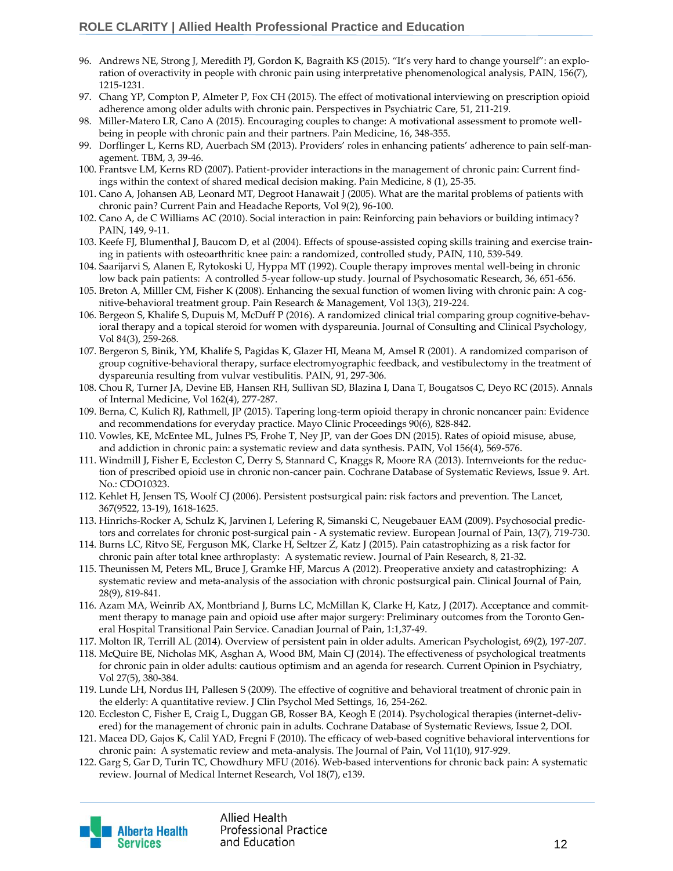- 96. Andrews NE, Strong J, Meredith PJ, Gordon K, Bagraith KS (2015). "It's very hard to change yourself": an exploration of overactivity in people with chronic pain using interpretative phenomenological analysis, PAIN, 156(7), 1215-1231.
- 97. Chang YP, Compton P, Almeter P, Fox CH (2015). The effect of motivational interviewing on prescription opioid adherence among older adults with chronic pain. Perspectives in Psychiatric Care, 51, 211-219.
- 98. Miller-Matero LR, Cano A (2015). Encouraging couples to change: A motivational assessment to promote wellbeing in people with chronic pain and their partners. Pain Medicine, 16, 348-355.
- 99. Dorflinger L, Kerns RD, Auerbach SM (2013). Providers' roles in enhancing patients' adherence to pain self-management. TBM, 3, 39-46.
- 100. Frantsve LM, Kerns RD (2007). Patient-provider interactions in the management of chronic pain: Current findings within the context of shared medical decision making. Pain Medicine, 8 (1), 25-35.
- 101. Cano A, Johansen AB, Leonard MT, Degroot Hanawait J (2005). What are the marital problems of patients with chronic pain? Current Pain and Headache Reports, Vol 9(2), 96-100.
- 102. Cano A, de C Williams AC (2010). Social interaction in pain: Reinforcing pain behaviors or building intimacy? PAIN, 149, 9-11.
- 103. Keefe FJ, Blumenthal J, Baucom D, et al (2004). Effects of spouse-assisted coping skills training and exercise training in patients with osteoarthritic knee pain: a randomized, controlled study, PAIN, 110, 539-549.
- 104. Saarijarvi S, Alanen E, Rytokoski U, Hyppa MT (1992). Couple therapy improves mental well-being in chronic low back pain patients: A controlled 5-year follow-up study. Journal of Psychosomatic Research, 36, 651-656.
- 105. Breton A, Milller CM, Fisher K (2008). Enhancing the sexual function of women living with chronic pain: A cognitive-behavioral treatment group. Pain Research & Management, Vol 13(3), 219-224.
- 106. Bergeon S, Khalife S, Dupuis M, McDuff P (2016). A randomized clinical trial comparing group cognitive-behavioral therapy and a topical steroid for women with dyspareunia. Journal of Consulting and Clinical Psychology, Vol 84(3), 259-268.
- 107. Bergeron S, Binik, YM, Khalife S, Pagidas K, Glazer HI, Meana M, Amsel R (2001). A randomized comparison of group cognitive-behavioral therapy, surface electromyographic feedback, and vestibulectomy in the treatment of dyspareunia resulting from vulvar vestibulitis. PAIN, 91, 297-306.
- 108. Chou R, Turner JA, Devine EB, Hansen RH, Sullivan SD, Blazina I, Dana T, Bougatsos C, Deyo RC (2015). Annals of Internal Medicine, Vol 162(4), 277-287.
- 109. Berna, C, Kulich RJ, Rathmell, JP (2015). Tapering long-term opioid therapy in chronic noncancer pain: Evidence and recommendations for everyday practice. Mayo Clinic Proceedings 90(6), 828-842.
- 110. Vowles, KE, McEntee ML, Julnes PS, Frohe T, Ney JP, van der Goes DN (2015). Rates of opioid misuse, abuse, and addiction in chronic pain: a systematic review and data synthesis. PAIN, Vol 156(4), 569-576.
- 111. Windmill J, Fisher E, Eccleston C, Derry S, Stannard C, Knaggs R, Moore RA (2013). Internveionts for the reduction of prescribed opioid use in chronic non-cancer pain. Cochrane Database of Systematic Reviews, Issue 9. Art. No.: CDO10323.
- 112. Kehlet H, Jensen TS, Woolf CJ (2006). Persistent postsurgical pain: risk factors and prevention. The Lancet, 367(9522, 13-19), 1618-1625.
- 113. Hinrichs-Rocker A, Schulz K, Jarvinen I, Lefering R, Simanski C, Neugebauer EAM (2009). Psychosocial predictors and correlates for chronic post-surgical pain - A systematic review. European Journal of Pain, 13(7), 719-730.
- 114. Burns LC, Ritvo SE, Ferguson MK, Clarke H, Seltzer Z, Katz J (2015). Pain catastrophizing as a risk factor for chronic pain after total knee arthroplasty: A systematic review. Journal of Pain Research, 8, 21-32.
- 115. Theunissen M, Peters ML, Bruce J, Gramke HF, Marcus A (2012). Preoperative anxiety and catastrophizing: A systematic review and meta-analysis of the association with chronic postsurgical pain. Clinical Journal of Pain, 28(9), 819-841.
- 116. Azam MA, Weinrib AX, Montbriand J, Burns LC, McMillan K, Clarke H, Katz, J (2017). Acceptance and commitment therapy to manage pain and opioid use after major surgery: Preliminary outcomes from the Toronto General Hospital Transitional Pain Service. Canadian Journal of Pain, 1:1,37-49.
- 117. Molton IR, Terrill AL (2014). Overview of persistent pain in older adults. American Psychologist, 69(2), 197-207.
- 118. McQuire BE, Nicholas MK, Asghan A, Wood BM, Main CJ (2014). The effectiveness of psychological treatments for chronic pain in older adults: cautious optimism and an agenda for research. Current Opinion in Psychiatry, Vol 27(5), 380-384.
- 119. Lunde LH, Nordus IH, Pallesen S (2009). The effective of cognitive and behavioral treatment of chronic pain in the elderly: A quantitative review. J Clin Psychol Med Settings, 16, 254-262.
- 120. Eccleston C, Fisher E, Craig L, Duggan GB, Rosser BA, Keogh E (2014). Psychological therapies (internet-delivered) for the management of chronic pain in adults. Cochrane Database of Systematic Reviews, Issue 2, DOI.
- 121. Macea DD, Gajos K, Calil YAD, Fregni F (2010). The efficacy of web-based cognitive behavioral interventions for chronic pain: A systematic review and meta-analysis. The Journal of Pain, Vol 11(10), 917-929.
- 122. Garg S, Gar D, Turin TC, Chowdhury MFU (2016). Web-based interventions for chronic back pain: A systematic review. Journal of Medical Internet Research, Vol 18(7), e139.